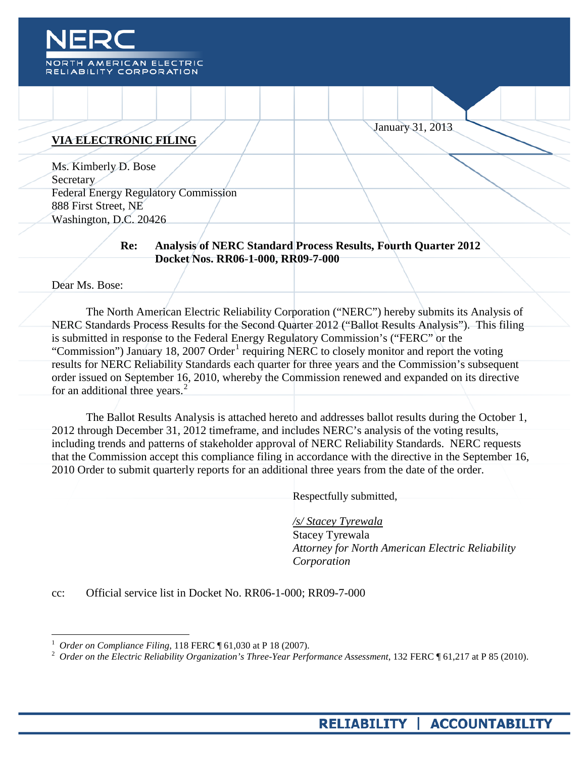

#### **VIA ELECTRONIC FILING**

Ms. Kimberly D. Bose **Secretary** Federal Energy Regulatory Commission 888 First Street, NE Washington, D.C. 20426

#### **Re: Analysis of NERC Standard Process Results, Fourth Quarter 2012 Docket Nos. RR06-1-000, RR09-7-000**

Dear Ms. Bose:

The North American Electric Reliability Corporation ("NERC") hereby submits its Analysis of NERC Standards Process Results for the Second Quarter 2012 ("Ballot Results Analysis"). This filing is submitted in response to the Federal Energy Regulatory Commission's ("FERC" or the "Commission") January [1](#page-0-0)8, 2007 Order<sup>1</sup> requiring NERC to closely monitor and report the voting results for NERC Reliability Standards each quarter for three years and the Commission's subsequent order issued on September 16, 2010, whereby the Commission renewed and expanded on its directive for an additional three years.<sup>[2](#page-0-1)</sup>

The Ballot Results Analysis is attached hereto and addresses ballot results during the October 1, 2012 through December 31, 2012 timeframe, and includes NERC's analysis of the voting results, including trends and patterns of stakeholder approval of NERC Reliability Standards. NERC requests that the Commission accept this compliance filing in accordance with the directive in the September 16, 2010 Order to submit quarterly reports for an additional three years from the date of the order.

Respectfully submitted,

*/s/ Stacey Tyrewala* Stacey Tyrewala *Attorney for North American Electric Reliability Corporation*

January 31, 2013

cc: Official service list in Docket No. RR06-1-000; RR09-7-000

<span id="page-0-1"></span><span id="page-0-0"></span><sup>&</sup>lt;sup>1</sup> *Order on Compliance Filing*, 118 FERC ¶ 61,030 at P 18 (2007).<br><sup>2</sup> *Order on the Electric Reliability Organization's Three-Year Performance Assessment*, 132 FERC ¶ 61,217 at P 85 (2010).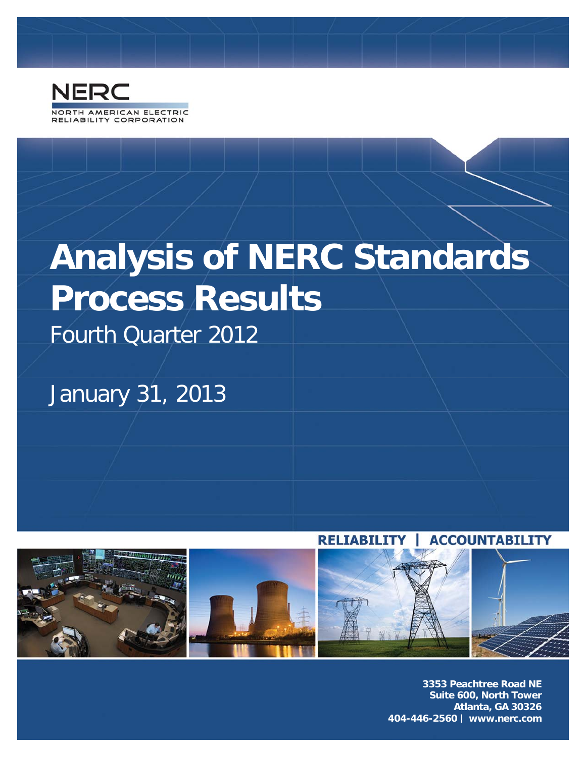

# **Analysis of NERC Standards Process Results**

Fourth Quarter 2012

January 31, 2013



**3353 Peachtree Road NE Suite 600, North Tower Atlanta, GA 30326 404-446-2560 | www.nerc.com**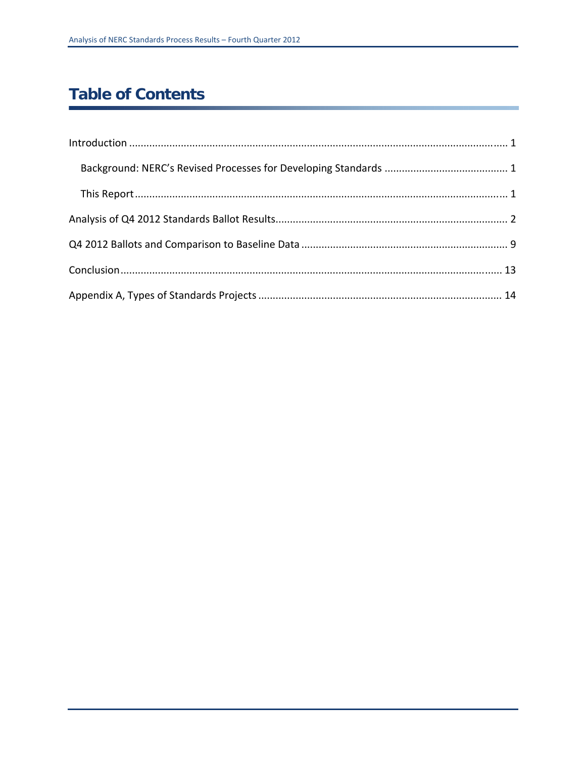## **Table of Contents**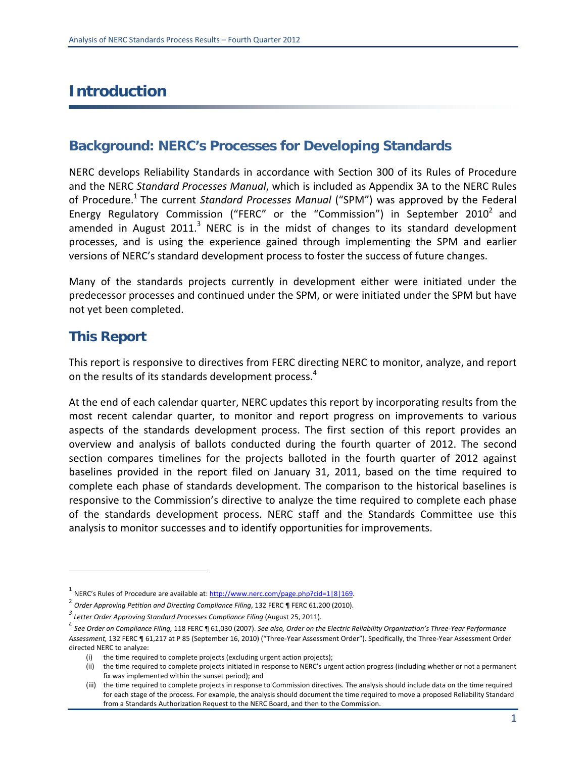## **Introduction**

#### **Background: NERC's Processes for Developing Standards**

NERC develops Reliability Standards in accordance with Section 300 of its Rules of Procedure and the NERC *Standard Processes Manual*, which is included as Appendix 3A to the NERC Rules of Procedure.1 The current *Standard Processes Manual* ("SPM") was approved by the Federal Energy Regulatory Commission ("FERC" or the "Commission") in September 2010<sup>2</sup> and amended in August 2011. $3$  NERC is in the midst of changes to its standard development processes, and is using the experience gained through implementing the SPM and earlier versions of NERC's standard development process to foster the success of future changes.

Many of the standards projects currently in development either were initiated under the predecessor processes and continued under the SPM, or were initiated under the SPM but have not yet been completed.

#### **This Report**

This report is responsive to directives from FERC directing NERC to monitor, analyze, and report on the results of its standards development process.<sup>4</sup>

At the end of each calendar quarter, NERC updates this report by incorporating results from the most recent calendar quarter, to monitor and report progress on improvements to various aspects of the standards development process. The first section of this report provides an overview and analysis of ballots conducted during the fourth quarter of 2012. The second section compares timelines for the projects balloted in the fourth quarter of 2012 against baselines provided in the report filed on January 31, 2011, based on the time required to complete each phase of standards development. The comparison to the historical baselines is responsive to the Commission's directive to analyze the time required to complete each phase of the standards development process. NERC staff and the Standards Committee use this analysis to monitor successes and to identify opportunities for improvements.

<sup>&</sup>lt;sup>1</sup> NERC's Rules of Procedure are available at: http://www.nerc.com/page.php?cid=1|8|169.

<sup>2</sup> *Order Approving Petition and Directing Compliance Filing*, <sup>132</sup> FERC ¶ FERC 61,200 (2010).

*<sup>3</sup> Letter Order Approving Standard Processes Compliance Filing* (August 25, 2011).

 $^4$  See Order on Compliance Filing, 118 FERC ¶ 61,030 (2007). See also, Order on the Electric Reliability Organization's Three-Year Performance *Assessment,* 132 FERC ¶ 61,217 at P 85 (September 16, 2010) ("Three‐Year Assessment Order"). Specifically, the Three‐Year Assessment Order directed NERC to analyze:

<sup>(</sup>i) the time required to complete projects (excluding urgent action projects);

<sup>(</sup>ii) the time required to complete projects initiated in response to NERC's urgent action progress (including whether or not a permanent fix was implemented within the sunset period); and

<sup>(</sup>iii) the time required to complete projects in response to Commission directives. The analysis should include data on the time required for each stage of the process. For example, the analysis should document the time required to move a proposed Reliability Standard from a Standards Authorization Request to the NERC Board, and then to the Commission.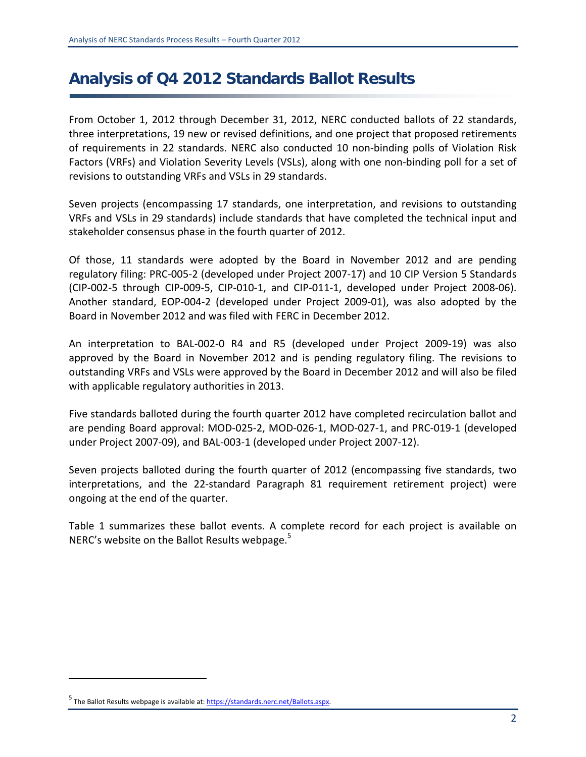## **Analysis of Q4 2012 Standards Ballot Results**

From October 1, 2012 through December 31, 2012, NERC conducted ballots of 22 standards, three interpretations, 19 new or revised definitions, and one project that proposed retirements of requirements in 22 standards. NERC also conducted 10 non‐binding polls of Violation Risk Factors (VRFs) and Violation Severity Levels (VSLs), along with one non‐binding poll for a set of revisions to outstanding VRFs and VSLs in 29 standards.

Seven projects (encompassing 17 standards, one interpretation, and revisions to outstanding VRFs and VSLs in 29 standards) include standards that have completed the technical input and stakeholder consensus phase in the fourth quarter of 2012.

Of those, 11 standards were adopted by the Board in November 2012 and are pending regulatory filing: PRC‐005‐2 (developed under Project 2007‐17) and 10 CIP Version 5 Standards (CIP‐002‐5 through CIP‐009‐5, CIP‐010‐1, and CIP‐011‐1, developed under Project 2008‐06). Another standard, EOP‐004‐2 (developed under Project 2009‐01), was also adopted by the Board in November 2012 and was filed with FERC in December 2012.

An interpretation to BAL‐002‐0 R4 and R5 (developed under Project 2009‐19) was also approved by the Board in November 2012 and is pending regulatory filing. The revisions to outstanding VRFs and VSLs were approved by the Board in December 2012 and will also be filed with applicable regulatory authorities in 2013.

Five standards balloted during the fourth quarter 2012 have completed recirculation ballot and are pending Board approval: MOD‐025‐2, MOD‐026‐1, MOD‐027‐1, and PRC‐019‐1 (developed under Project 2007‐09), and BAL‐003‐1 (developed under Project 2007‐12).

Seven projects balloted during the fourth quarter of 2012 (encompassing five standards, two interpretations, and the 22‐standard Paragraph 81 requirement retirement project) were ongoing at the end of the quarter.

Table 1 summarizes these ballot events. A complete record for each project is available on NERC's website on the Ballot Results webpage.<sup>5</sup>

<sup>&</sup>lt;sup>5</sup> The Ballot Results webpage is available at: **https://standards.nerc.net/Ballots.aspx**.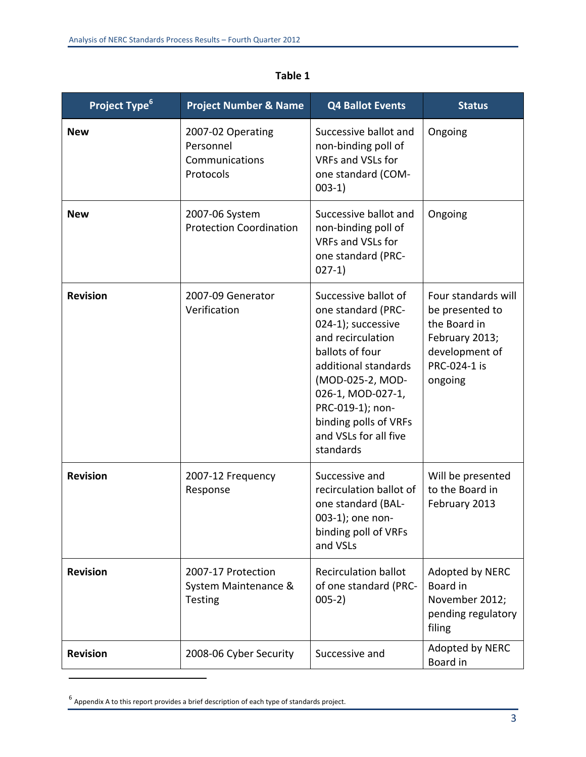| Project Type <sup>6</sup> | <b>Project Number &amp; Name</b>                              | <b>Q4 Ballot Events</b>                                                                                                                                                                                                                                      | <b>Status</b>                                                                                                         |
|---------------------------|---------------------------------------------------------------|--------------------------------------------------------------------------------------------------------------------------------------------------------------------------------------------------------------------------------------------------------------|-----------------------------------------------------------------------------------------------------------------------|
| <b>New</b>                | 2007-02 Operating<br>Personnel<br>Communications<br>Protocols | Successive ballot and<br>non-binding poll of<br>VRFs and VSLs for<br>one standard (COM-<br>$003-1)$                                                                                                                                                          | Ongoing                                                                                                               |
| <b>New</b>                | 2007-06 System<br><b>Protection Coordination</b>              | Successive ballot and<br>non-binding poll of<br>VRFs and VSLs for<br>one standard (PRC-<br>$027-1)$                                                                                                                                                          | Ongoing                                                                                                               |
| <b>Revision</b>           | 2007-09 Generator<br>Verification                             | Successive ballot of<br>one standard (PRC-<br>024-1); successive<br>and recirculation<br>ballots of four<br>additional standards<br>(MOD-025-2, MOD-<br>026-1, MOD-027-1,<br>PRC-019-1); non-<br>binding polls of VRFs<br>and VSLs for all five<br>standards | Four standards will<br>be presented to<br>the Board in<br>February 2013;<br>development of<br>PRC-024-1 is<br>ongoing |
| <b>Revision</b>           | 2007-12 Frequency<br>Response                                 | Successive and<br>recirculation ballot of<br>one standard (BAL-<br>003-1); one non-<br>binding poll of VRFs<br>and VSLs                                                                                                                                      | Will be presented<br>to the Board in<br>February 2013                                                                 |
| <b>Revision</b>           | 2007-17 Protection<br>System Maintenance &<br><b>Testing</b>  | <b>Recirculation ballot</b><br>of one standard (PRC-<br>$005-2)$                                                                                                                                                                                             | Adopted by NERC<br>Board in<br>November 2012;<br>pending regulatory<br>filing                                         |
| <b>Revision</b>           | 2008-06 Cyber Security                                        | Successive and                                                                                                                                                                                                                                               | Adopted by NERC<br>Board in                                                                                           |

#### **Table 1**

 $6$  Appendix A to this report provides a brief description of each type of standards project.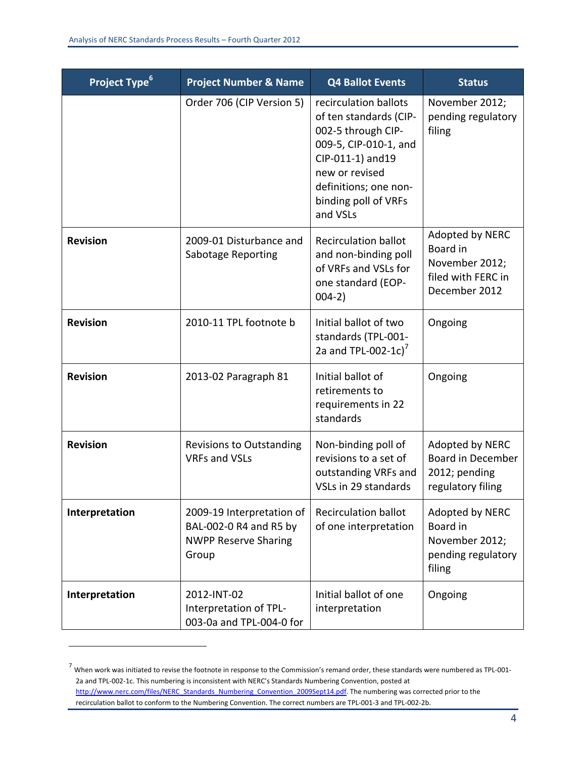| <b>Project Type</b> <sup>6</sup> | <b>Project Number &amp; Name</b>                                                            | <b>Q4 Ballot Events</b>                                                                                                                                                                            | <b>Status</b>                                                                        |
|----------------------------------|---------------------------------------------------------------------------------------------|----------------------------------------------------------------------------------------------------------------------------------------------------------------------------------------------------|--------------------------------------------------------------------------------------|
|                                  | Order 706 (CIP Version 5)                                                                   | recirculation ballots<br>of ten standards (CIP-<br>002-5 through CIP-<br>009-5, CIP-010-1, and<br>CIP-011-1) and 19<br>new or revised<br>definitions; one non-<br>binding poll of VRFs<br>and VSLs | November 2012;<br>pending regulatory<br>filing                                       |
| <b>Revision</b>                  | 2009-01 Disturbance and<br>Sabotage Reporting                                               | <b>Recirculation ballot</b><br>and non-binding poll<br>of VRFs and VSLs for<br>one standard (EOP-<br>$004-2)$                                                                                      | Adopted by NERC<br>Board in<br>November 2012;<br>filed with FERC in<br>December 2012 |
| <b>Revision</b>                  | 2010-11 TPL footnote b                                                                      | Initial ballot of two<br>standards (TPL-001-<br>2a and TPL-002-1c) <sup>7</sup>                                                                                                                    | Ongoing                                                                              |
| <b>Revision</b>                  | 2013-02 Paragraph 81                                                                        | Initial ballot of<br>retirements to<br>requirements in 22<br>standards                                                                                                                             | Ongoing                                                                              |
| <b>Revision</b>                  | <b>Revisions to Outstanding</b><br><b>VRFs and VSLs</b>                                     | Non-binding poll of<br>revisions to a set of<br>outstanding VRFs and<br>VSLs in 29 standards                                                                                                       | Adopted by NERC<br><b>Board in December</b><br>2012; pending<br>regulatory filing    |
| Interpretation                   | 2009-19 Interpretation of<br>BAL-002-0 R4 and R5 by<br><b>NWPP Reserve Sharing</b><br>Group | <b>Recirculation ballot</b><br>of one interpretation                                                                                                                                               | Adopted by NERC<br>Board in<br>November 2012;<br>pending regulatory<br>filing        |
| Interpretation                   | 2012-INT-02<br>Interpretation of TPL-<br>003-0a and TPL-004-0 for                           | Initial ballot of one<br>interpretation                                                                                                                                                            | Ongoing                                                                              |

 $7$  When work was initiated to revise the footnote in response to the Commission's remand order, these standards were numbered as TPL-001-2a and TPL‐002‐1c. This numbering is inconsistent with NERC's Standards Numbering Convention, posted at http://www.nerc.com/files/NERC\_Standards\_Numbering\_Convention\_2009Sept14.pdf. The numbering was corrected prior to the recirculation ballot to conform to the Numbering Convention. The correct numbers are TPL‐001‐3 and TPL‐002‐2b.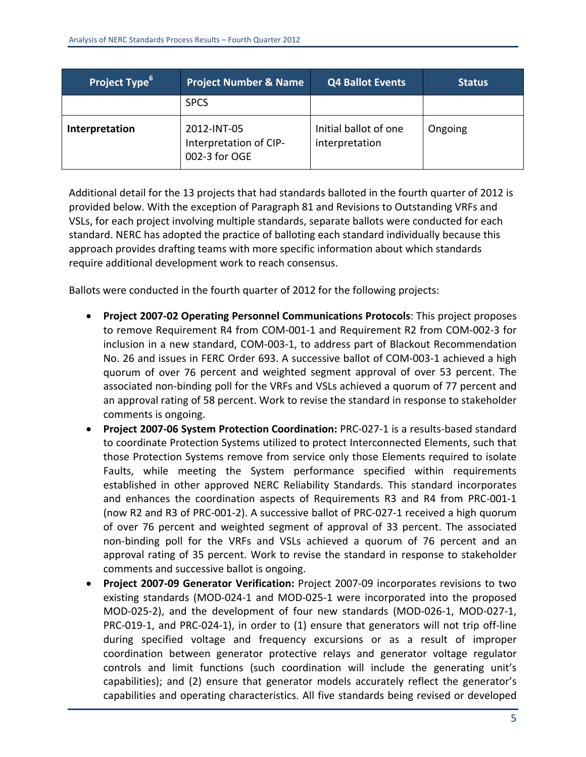| Project Type <sup>6</sup> | <b>Project Number &amp; Name</b>                       | <b>Q4 Ballot Events</b>                 | <b>Status</b> |
|---------------------------|--------------------------------------------------------|-----------------------------------------|---------------|
|                           | <b>SPCS</b>                                            |                                         |               |
| Interpretation            | 2012-INT-05<br>Interpretation of CIP-<br>002-3 for OGE | Initial ballot of one<br>interpretation | Ongoing       |

Additional detail for the 13 projects that had standards balloted in the fourth quarter of 2012 is provided below. With the exception of Paragraph 81 and Revisions to Outstanding VRFs and VSLs, for each project involving multiple standards, separate ballots were conducted for each standard. NERC has adopted the practice of balloting each standard individually because this approach provides drafting teams with more specific information about which standards require additional development work to reach consensus.

Ballots were conducted in the fourth quarter of 2012 for the following projects:

- **Project 2007‐02 Operating Personnel Communications Protocols**: This project proposes to remove Requirement R4 from COM‐001‐1 and Requirement R2 from COM‐002‐3 for inclusion in a new standard, COM‐003‐1, to address part of Blackout Recommendation No. 26 and issues in FERC Order 693. A successive ballot of COM‐003‐1 achieved a high quorum of over 76 percent and weighted segment approval of over 53 percent. The associated non‐binding poll for the VRFs and VSLs achieved a quorum of 77 percent and an approval rating of 58 percent. Work to revise the standard in response to stakeholder comments is ongoing.
- **Project 2007‐06 System Protection Coordination:** PRC‐027‐1 is a results‐based standard to coordinate Protection Systems utilized to protect Interconnected Elements, such that those Protection Systems remove from service only those Elements required to isolate Faults, while meeting the System performance specified within requirements established in other approved NERC Reliability Standards. This standard incorporates and enhances the coordination aspects of Requirements R3 and R4 from PRC‐001‐1 (now R2 and R3 of PRC‐001‐2). A successive ballot of PRC‐027‐1 received a high quorum of over 76 percent and weighted segment of approval of 33 percent. The associated non‐binding poll for the VRFs and VSLs achieved a quorum of 76 percent and an approval rating of 35 percent. Work to revise the standard in response to stakeholder comments and successive ballot is ongoing.
- **Project 2007‐09 Generator Verification:** Project 2007‐09 incorporates revisions to two existing standards (MOD‐024‐1 and MOD‐025‐1 were incorporated into the proposed MOD‐025‐2), and the development of four new standards (MOD‐026‐1, MOD‐027‐1, PRC‐019‐1, and PRC‐024‐1), in order to (1) ensure that generators will not trip off‐line during specified voltage and frequency excursions or as a result of improper coordination between generator protective relays and generator voltage regulator controls and limit functions (such coordination will include the generating unit's capabilities); and (2) ensure that generator models accurately reflect the generator's capabilities and operating characteristics. All five standards being revised or developed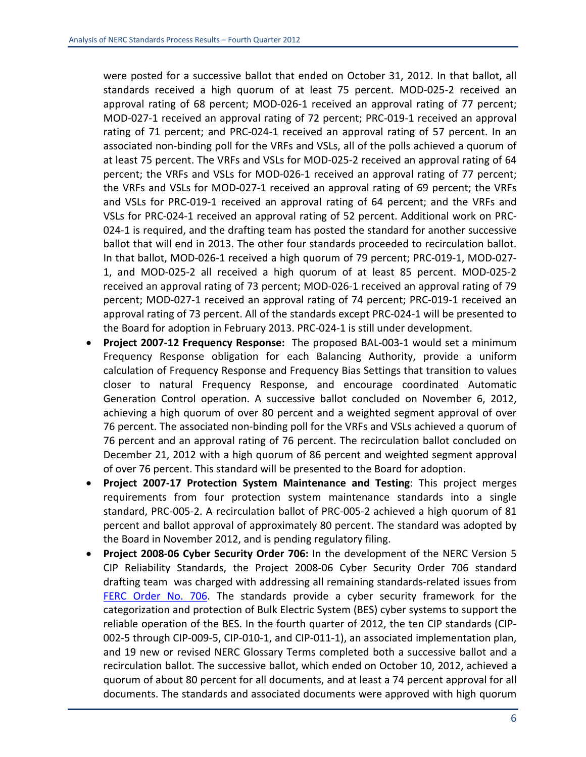were posted for a successive ballot that ended on October 31, 2012. In that ballot, all standards received a high quorum of at least 75 percent. MOD‐025‐2 received an approval rating of 68 percent; MOD‐026‐1 received an approval rating of 77 percent; MOD‐027‐1 received an approval rating of 72 percent; PRC‐019‐1 received an approval rating of 71 percent; and PRC‐024‐1 received an approval rating of 57 percent. In an associated non‐binding poll for the VRFs and VSLs, all of the polls achieved a quorum of at least 75 percent. The VRFs and VSLs for MOD‐025‐2 received an approval rating of 64 percent; the VRFs and VSLs for MOD-026-1 received an approval rating of 77 percent; the VRFs and VSLs for MOD‐027‐1 received an approval rating of 69 percent; the VRFs and VSLs for PRC-019-1 received an approval rating of 64 percent; and the VRFs and VSLs for PRC‐024‐1 received an approval rating of 52 percent. Additional work on PRC‐ 024‐1 is required, and the drafting team has posted the standard for another successive ballot that will end in 2013. The other four standards proceeded to recirculation ballot. In that ballot, MOD‐026‐1 received a high quorum of 79 percent; PRC‐019‐1, MOD‐027‐ 1, and MOD‐025‐2 all received a high quorum of at least 85 percent. MOD‐025‐2 received an approval rating of 73 percent; MOD‐026‐1 received an approval rating of 79 percent; MOD‐027‐1 received an approval rating of 74 percent; PRC‐019‐1 received an approval rating of 73 percent. All of the standards except PRC‐024‐1 will be presented to the Board for adoption in February 2013. PRC‐024‐1 is still under development.

- **Project 2007‐12 Frequency Response:** The proposed BAL‐003‐1 would set a minimum Frequency Response obligation for each Balancing Authority, provide a uniform calculation of Frequency Response and Frequency Bias Settings that transition to values closer to natural Frequency Response, and encourage coordinated Automatic Generation Control operation. A successive ballot concluded on November 6, 2012, achieving a high quorum of over 80 percent and a weighted segment approval of over 76 percent. The associated non‐binding poll for the VRFs and VSLs achieved a quorum of 76 percent and an approval rating of 76 percent. The recirculation ballot concluded on December 21, 2012 with a high quorum of 86 percent and weighted segment approval of over 76 percent. This standard will be presented to the Board for adoption.
- **Project 2007‐17 Protection System Maintenance and Testing**: This project merges requirements from four protection system maintenance standards into a single standard, PRC‐005‐2. A recirculation ballot of PRC‐005‐2 achieved a high quorum of 81 percent and ballot approval of approximately 80 percent. The standard was adopted by the Board in November 2012, and is pending regulatory filing.
- **Project 2008‐06 Cyber Security Order 706:** In the development of the NERC Version 5 CIP Reliability Standards, the Project 2008‐06 Cyber Security Order 706 standard drafting team was charged with addressing all remaining standards‐related issues from FERC Order No. 706. The standards provide a cyber security framework for the categorization and protection of Bulk Electric System (BES) cyber systems to support the reliable operation of the BES. In the fourth quarter of 2012, the ten CIP standards (CIP‐ 002‐5 through CIP‐009‐5, CIP‐010‐1, and CIP‐011‐1), an associated implementation plan, and 19 new or revised NERC Glossary Terms completed both a successive ballot and a recirculation ballot. The successive ballot, which ended on October 10, 2012, achieved a quorum of about 80 percent for all documents, and at least a 74 percent approval for all documents. The standards and associated documents were approved with high quorum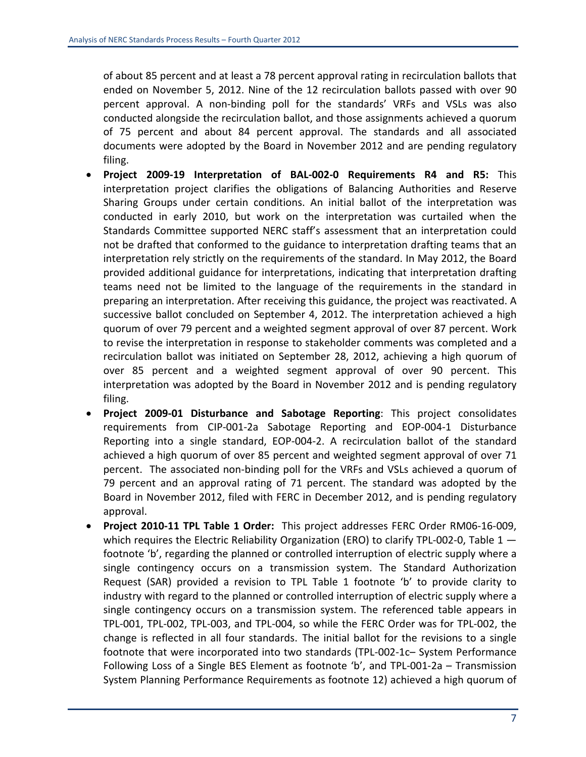of about 85 percent and at least a 78 percent approval rating in recirculation ballots that ended on November 5, 2012. Nine of the 12 recirculation ballots passed with over 90 percent approval. A non‐binding poll for the standards' VRFs and VSLs was also conducted alongside the recirculation ballot, and those assignments achieved a quorum of 75 percent and about 84 percent approval. The standards and all associated documents were adopted by the Board in November 2012 and are pending regulatory filing.

- **Project 2009‐19 Interpretation of BAL‐002‐0 Requirements R4 and R5:** This interpretation project clarifies the obligations of Balancing Authorities and Reserve Sharing Groups under certain conditions. An initial ballot of the interpretation was conducted in early 2010, but work on the interpretation was curtailed when the Standards Committee supported NERC staff's assessment that an interpretation could not be drafted that conformed to the guidance to interpretation drafting teams that an interpretation rely strictly on the requirements of the standard. In May 2012, the Board provided additional guidance for interpretations, indicating that interpretation drafting teams need not be limited to the language of the requirements in the standard in preparing an interpretation. After receiving this guidance, the project was reactivated. A successive ballot concluded on September 4, 2012. The interpretation achieved a high quorum of over 79 percent and a weighted segment approval of over 87 percent. Work to revise the interpretation in response to stakeholder comments was completed and a recirculation ballot was initiated on September 28, 2012, achieving a high quorum of over 85 percent and a weighted segment approval of over 90 percent. This interpretation was adopted by the Board in November 2012 and is pending regulatory filing.
- **Project 2009‐01 Disturbance and Sabotage Reporting**: This project consolidates requirements from CIP‐001‐2a Sabotage Reporting and EOP‐004‐1 Disturbance Reporting into a single standard, EOP‐004‐2. A recirculation ballot of the standard achieved a high quorum of over 85 percent and weighted segment approval of over 71 percent. The associated non‐binding poll for the VRFs and VSLs achieved a quorum of 79 percent and an approval rating of 71 percent. The standard was adopted by the Board in November 2012, filed with FERC in December 2012, and is pending regulatory approval.
- **Project 2010‐11 TPL Table 1 Order:** This project addresses FERC Order RM06‐16‐009, which requires the Electric Reliability Organization (ERO) to clarify TPL-002-0, Table  $1$ footnote 'b', regarding the planned or controlled interruption of electric supply where a single contingency occurs on a transmission system. The Standard Authorization Request (SAR) provided a revision to TPL Table 1 footnote 'b' to provide clarity to industry with regard to the planned or controlled interruption of electric supply where a single contingency occurs on a transmission system. The referenced table appears in TPL‐001, TPL‐002, TPL‐003, and TPL‐004, so while the FERC Order was for TPL‐002, the change is reflected in all four standards. The initial ballot for the revisions to a single footnote that were incorporated into two standards (TPL‐002‐1c– System Performance Following Loss of a Single BES Element as footnote 'b', and TPL‐001‐2a – Transmission System Planning Performance Requirements as footnote 12) achieved a high quorum of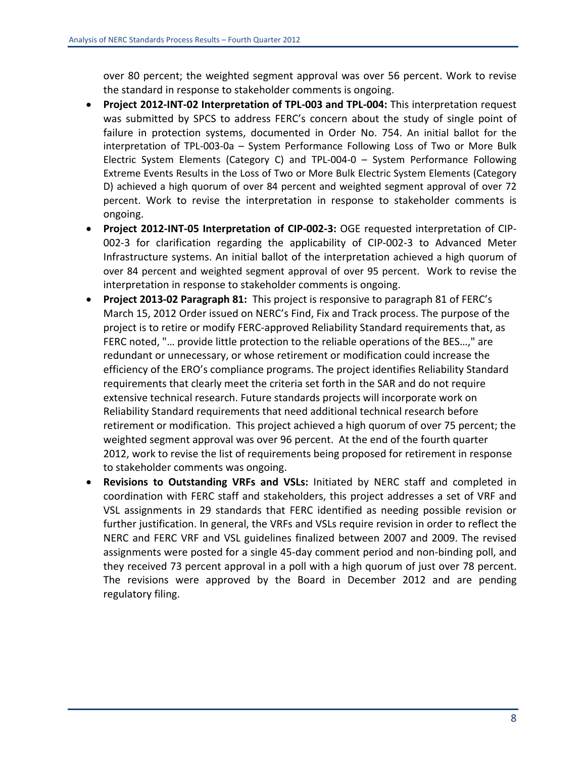over 80 percent; the weighted segment approval was over 56 percent. Work to revise the standard in response to stakeholder comments is ongoing.

- **Project 2012‐INT‐02 Interpretation of TPL‐003 and TPL‐004:** This interpretation request was submitted by SPCS to address FERC's concern about the study of single point of failure in protection systems, documented in Order No. 754. An initial ballot for the interpretation of TPL‐003‐0a – System Performance Following Loss of Two or More Bulk Electric System Elements (Category C) and TPL‐004‐0 – System Performance Following Extreme Events Results in the Loss of Two or More Bulk Electric System Elements (Category D) achieved a high quorum of over 84 percent and weighted segment approval of over 72 percent. Work to revise the interpretation in response to stakeholder comments is ongoing.
- **Project 2012‐INT‐05 Interpretation of CIP‐002‐3:** OGE requested interpretation of CIP‐ 002‐3 for clarification regarding the applicability of CIP‐002‐3 to Advanced Meter Infrastructure systems. An initial ballot of the interpretation achieved a high quorum of over 84 percent and weighted segment approval of over 95 percent. Work to revise the interpretation in response to stakeholder comments is ongoing.
- **Project 2013‐02 Paragraph 81:** This project is responsive to paragraph 81 of FERC's March 15, 2012 Order issued on NERC's Find, Fix and Track process. The purpose of the project is to retire or modify FERC‐approved Reliability Standard requirements that, as FERC noted, "… provide little protection to the reliable operations of the BES…," are redundant or unnecessary, or whose retirement or modification could increase the efficiency of the ERO's compliance programs. The project identifies Reliability Standard requirements that clearly meet the criteria set forth in the SAR and do not require extensive technical research. Future standards projects will incorporate work on Reliability Standard requirements that need additional technical research before retirement or modification. This project achieved a high quorum of over 75 percent; the weighted segment approval was over 96 percent. At the end of the fourth quarter 2012, work to revise the list of requirements being proposed for retirement in response to stakeholder comments was ongoing.
- **Revisions to Outstanding VRFs and VSLs:** Initiated by NERC staff and completed in coordination with FERC staff and stakeholders, this project addresses a set of VRF and VSL assignments in 29 standards that FERC identified as needing possible revision or further justification. In general, the VRFs and VSLs require revision in order to reflect the NERC and FERC VRF and VSL guidelines finalized between 2007 and 2009. The revised assignments were posted for a single 45‐day comment period and non‐binding poll, and they received 73 percent approval in a poll with a high quorum of just over 78 percent. The revisions were approved by the Board in December 2012 and are pending regulatory filing.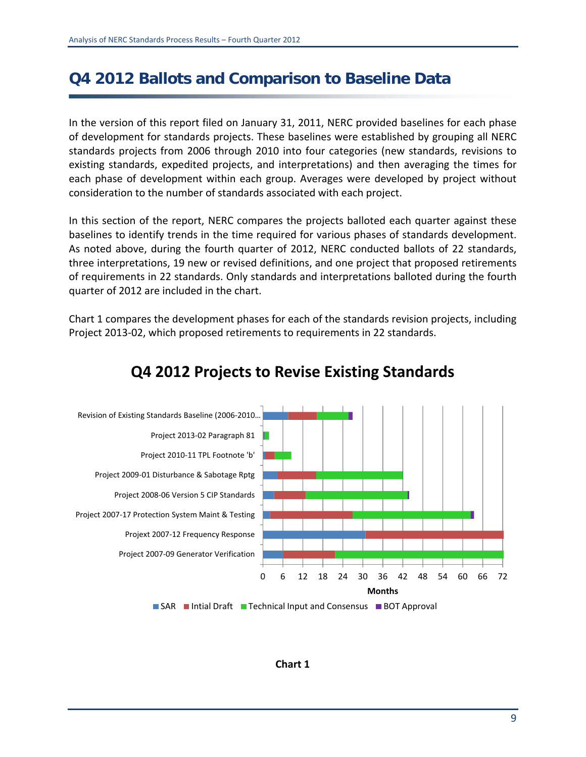## **Q4 2012 Ballots and Comparison to Baseline Data**

In the version of this report filed on January 31, 2011, NERC provided baselines for each phase of development for standards projects. These baselines were established by grouping all NERC standards projects from 2006 through 2010 into four categories (new standards, revisions to existing standards, expedited projects, and interpretations) and then averaging the times for each phase of development within each group. Averages were developed by project without consideration to the number of standards associated with each project.

In this section of the report, NERC compares the projects balloted each quarter against these baselines to identify trends in the time required for various phases of standards development. As noted above, during the fourth quarter of 2012, NERC conducted ballots of 22 standards, three interpretations, 19 new or revised definitions, and one project that proposed retirements of requirements in 22 standards. Only standards and interpretations balloted during the fourth quarter of 2012 are included in the chart.

Chart 1 compares the development phases for each of the standards revision projects, including Project 2013‐02, which proposed retirements to requirements in 22 standards.



### **Q4 2012 Projects to Revise Existing Standards**

#### **Chart 1**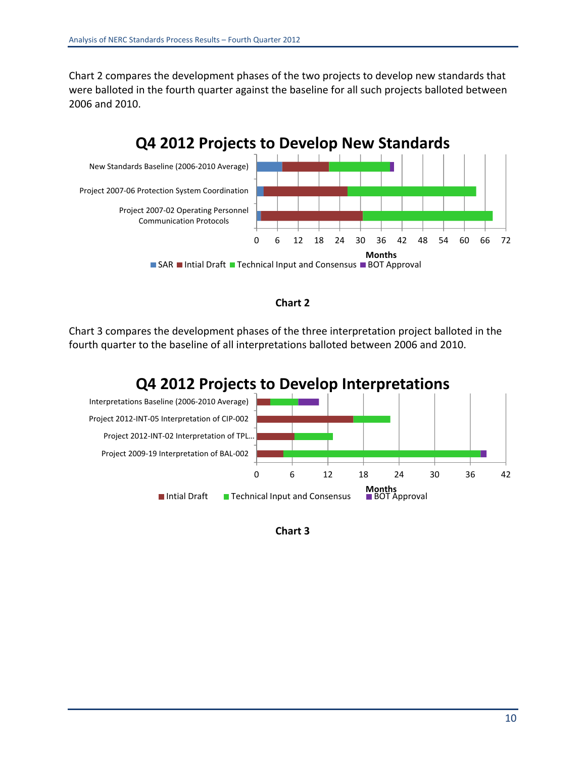Chart 2 compares the development phases of the two projects to develop new standards that were balloted in the fourth quarter against the baseline for all such projects balloted between 2006 and 2010.





Chart 3 compares the development phases of the three interpretation project balloted in the fourth quarter to the baseline of all interpretations balloted between 2006 and 2010.



**Chart 3**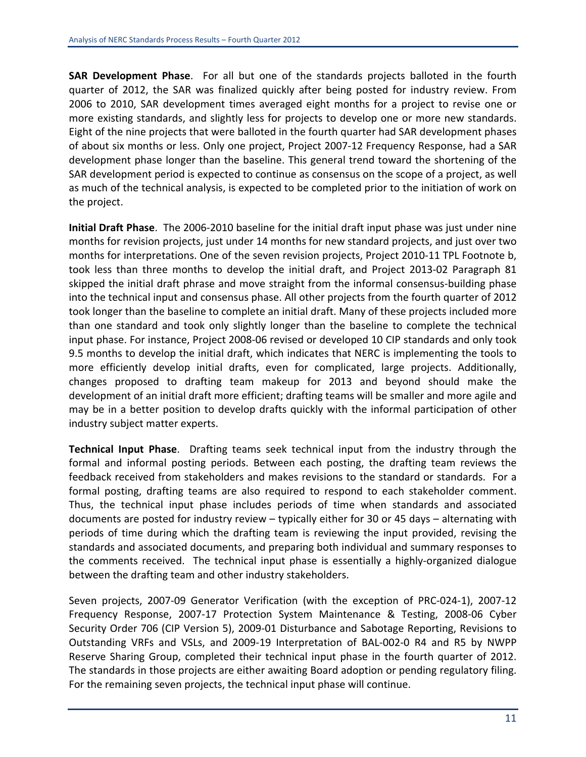**SAR Development Phase**. For all but one of the standards projects balloted in the fourth quarter of 2012, the SAR was finalized quickly after being posted for industry review. From 2006 to 2010, SAR development times averaged eight months for a project to revise one or more existing standards, and slightly less for projects to develop one or more new standards. Eight of the nine projects that were balloted in the fourth quarter had SAR development phases of about six months or less. Only one project, Project 2007‐12 Frequency Response, had a SAR development phase longer than the baseline. This general trend toward the shortening of the SAR development period is expected to continue as consensus on the scope of a project, as well as much of the technical analysis, is expected to be completed prior to the initiation of work on the project.

**Initial Draft Phase**. The 2006‐2010 baseline for the initial draft input phase was just under nine months for revision projects, just under 14 months for new standard projects, and just over two months for interpretations. One of the seven revision projects, Project 2010-11 TPL Footnote b, took less than three months to develop the initial draft, and Project 2013‐02 Paragraph 81 skipped the initial draft phrase and move straight from the informal consensus-building phase into the technical input and consensus phase. All other projects from the fourth quarter of 2012 took longer than the baseline to complete an initial draft. Many of these projects included more than one standard and took only slightly longer than the baseline to complete the technical input phase. For instance, Project 2008‐06 revised or developed 10 CIP standards and only took 9.5 months to develop the initial draft, which indicates that NERC is implementing the tools to more efficiently develop initial drafts, even for complicated, large projects. Additionally, changes proposed to drafting team makeup for 2013 and beyond should make the development of an initial draft more efficient; drafting teams will be smaller and more agile and may be in a better position to develop drafts quickly with the informal participation of other industry subject matter experts.

**Technical Input Phase**. Drafting teams seek technical input from the industry through the formal and informal posting periods. Between each posting, the drafting team reviews the feedback received from stakeholders and makes revisions to the standard or standards. For a formal posting, drafting teams are also required to respond to each stakeholder comment. Thus, the technical input phase includes periods of time when standards and associated documents are posted for industry review – typically either for 30 or 45 days – alternating with periods of time during which the drafting team is reviewing the input provided, revising the standards and associated documents, and preparing both individual and summary responses to the comments received. The technical input phase is essentially a highly-organized dialogue between the drafting team and other industry stakeholders.

Seven projects, 2007‐09 Generator Verification (with the exception of PRC‐024‐1), 2007‐12 Frequency Response, 2007‐17 Protection System Maintenance & Testing, 2008‐06 Cyber Security Order 706 (CIP Version 5), 2009‐01 Disturbance and Sabotage Reporting, Revisions to Outstanding VRFs and VSLs, and 2009‐19 Interpretation of BAL‐002‐0 R4 and R5 by NWPP Reserve Sharing Group, completed their technical input phase in the fourth quarter of 2012. The standards in those projects are either awaiting Board adoption or pending regulatory filing. For the remaining seven projects, the technical input phase will continue.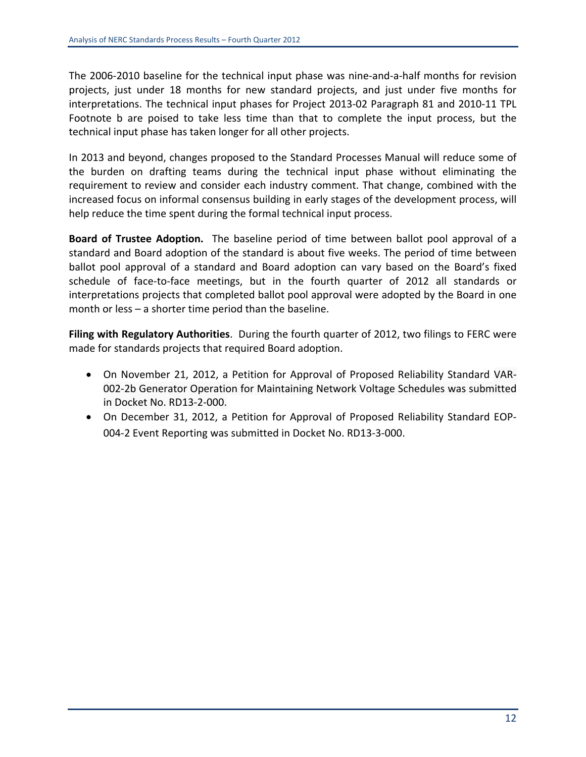The 2006‐2010 baseline for the technical input phase was nine‐and‐a‐half months for revision projects, just under 18 months for new standard projects, and just under five months for interpretations. The technical input phases for Project 2013‐02 Paragraph 81 and 2010‐11 TPL Footnote b are poised to take less time than that to complete the input process, but the technical input phase has taken longer for all other projects.

In 2013 and beyond, changes proposed to the Standard Processes Manual will reduce some of the burden on drafting teams during the technical input phase without eliminating the requirement to review and consider each industry comment. That change, combined with the increased focus on informal consensus building in early stages of the development process, will help reduce the time spent during the formal technical input process.

**Board of Trustee Adoption.**  The baseline period of time between ballot pool approval of a standard and Board adoption of the standard is about five weeks. The period of time between ballot pool approval of a standard and Board adoption can vary based on the Board's fixed schedule of face-to-face meetings, but in the fourth quarter of 2012 all standards or interpretations projects that completed ballot pool approval were adopted by the Board in one month or less – a shorter time period than the baseline.

**Filing with Regulatory Authorities**. During the fourth quarter of 2012, two filings to FERC were made for standards projects that required Board adoption.

- On November 21, 2012, a Petition for Approval of Proposed Reliability Standard VAR‐ 002‐2b Generator Operation for Maintaining Network Voltage Schedules was submitted in Docket No. RD13‐2‐000.
- On December 31, 2012, a Petition for Approval of Proposed Reliability Standard EOP‐ 004‐2 Event Reporting was submitted in Docket No. RD13‐3‐000.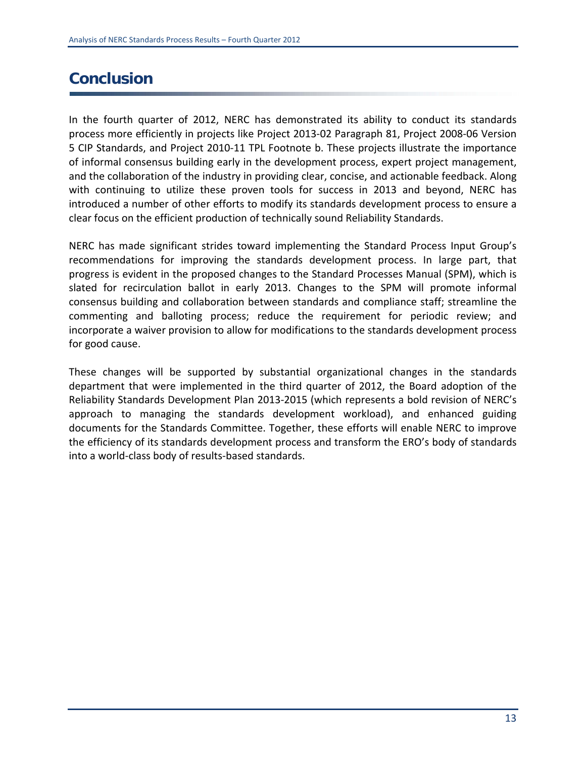## **Conclusion**

In the fourth quarter of 2012, NERC has demonstrated its ability to conduct its standards process more efficiently in projects like Project 2013‐02 Paragraph 81, Project 2008‐06 Version 5 CIP Standards, and Project 2010‐11 TPL Footnote b. These projects illustrate the importance of informal consensus building early in the development process, expert project management, and the collaboration of the industry in providing clear, concise, and actionable feedback. Along with continuing to utilize these proven tools for success in 2013 and beyond, NERC has introduced a number of other efforts to modify its standards development process to ensure a clear focus on the efficient production of technically sound Reliability Standards.

NERC has made significant strides toward implementing the Standard Process Input Group's recommendations for improving the standards development process. In large part, that progress is evident in the proposed changes to the Standard Processes Manual (SPM), which is slated for recirculation ballot in early 2013. Changes to the SPM will promote informal consensus building and collaboration between standards and compliance staff; streamline the commenting and balloting process; reduce the requirement for periodic review; and incorporate a waiver provision to allow for modifications to the standards development process for good cause.

These changes will be supported by substantial organizational changes in the standards department that were implemented in the third quarter of 2012, the Board adoption of the Reliability Standards Development Plan 2013‐2015 (which represents a bold revision of NERC's approach to managing the standards development workload), and enhanced guiding documents for the Standards Committee. Together, these efforts will enable NERC to improve the efficiency of its standards development process and transform the ERO's body of standards into a world‐class body of results‐based standards.